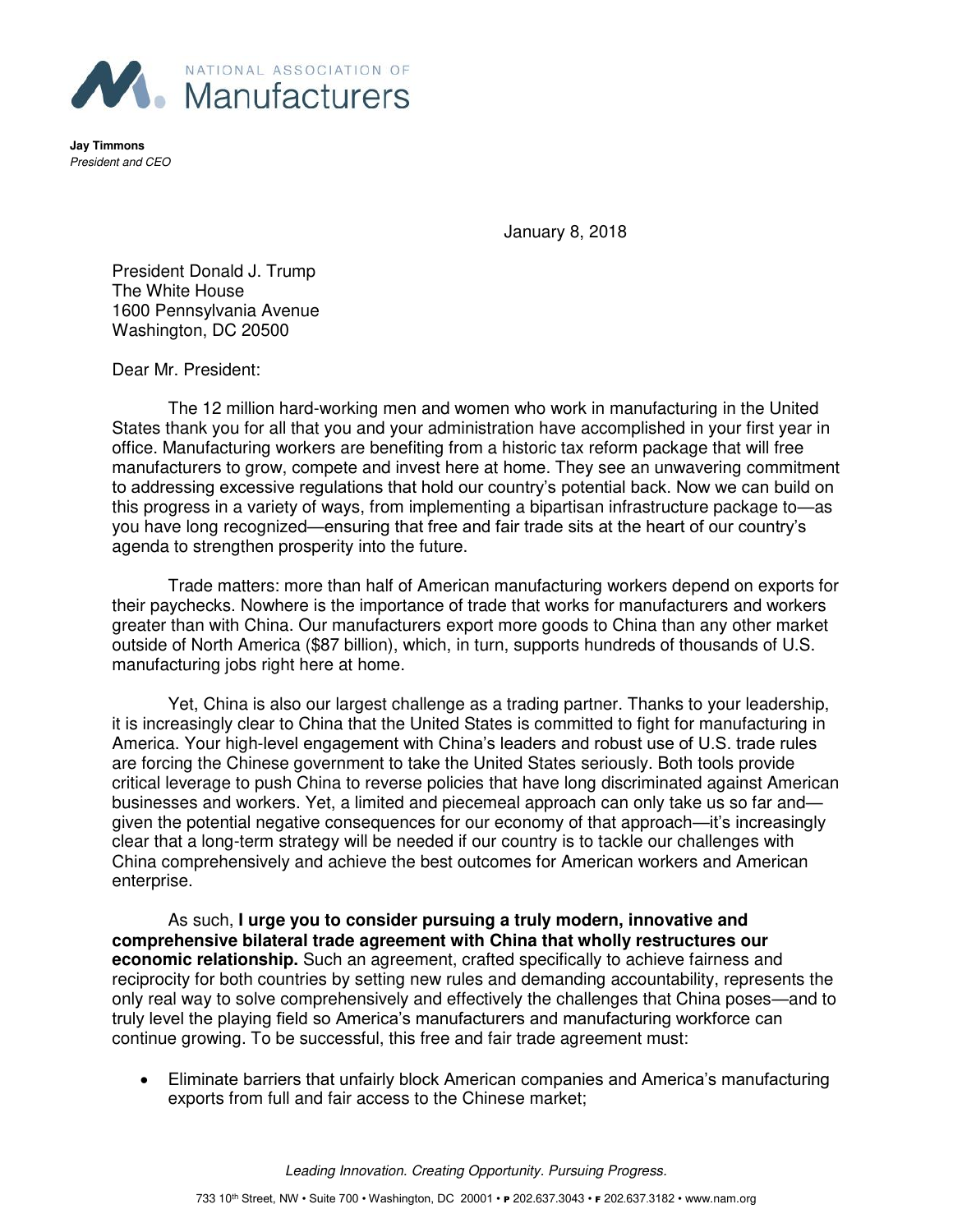

**Jay Timmons**  President and CEO

January 8, 2018

President Donald J. Trump The White House 1600 Pennsylvania Avenue Washington, DC 20500

Dear Mr. President:

 The 12 million hard-working men and women who work in manufacturing in the United States thank you for all that you and your administration have accomplished in your first year in office. Manufacturing workers are benefiting from a historic tax reform package that will free manufacturers to grow, compete and invest here at home. They see an unwavering commitment to addressing excessive regulations that hold our country's potential back. Now we can build on this progress in a variety of ways, from implementing a bipartisan infrastructure package to—as you have long recognized—ensuring that free and fair trade sits at the heart of our country's agenda to strengthen prosperity into the future.

Trade matters: more than half of American manufacturing workers depend on exports for their paychecks. Nowhere is the importance of trade that works for manufacturers and workers greater than with China. Our manufacturers export more goods to China than any other market outside of North America (\$87 billion), which, in turn, supports hundreds of thousands of U.S. manufacturing jobs right here at home.

Yet, China is also our largest challenge as a trading partner. Thanks to your leadership, it is increasingly clear to China that the United States is committed to fight for manufacturing in America. Your high-level engagement with China's leaders and robust use of U.S. trade rules are forcing the Chinese government to take the United States seriously. Both tools provide critical leverage to push China to reverse policies that have long discriminated against American businesses and workers. Yet, a limited and piecemeal approach can only take us so far and given the potential negative consequences for our economy of that approach—it's increasingly clear that a long-term strategy will be needed if our country is to tackle our challenges with China comprehensively and achieve the best outcomes for American workers and American enterprise.

 As such, **I urge you to consider pursuing a truly modern, innovative and comprehensive bilateral trade agreement with China that wholly restructures our economic relationship.** Such an agreement, crafted specifically to achieve fairness and reciprocity for both countries by setting new rules and demanding accountability, represents the only real way to solve comprehensively and effectively the challenges that China poses—and to truly level the playing field so America's manufacturers and manufacturing workforce can continue growing. To be successful, this free and fair trade agreement must:

• Eliminate barriers that unfairly block American companies and America's manufacturing exports from full and fair access to the Chinese market;